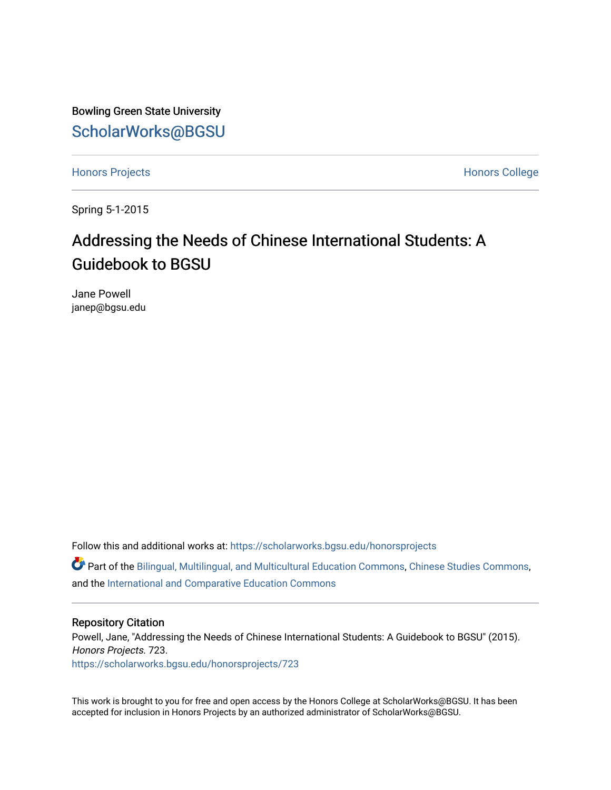Bowling Green State University [ScholarWorks@BGSU](https://scholarworks.bgsu.edu/) 

[Honors Projects](https://scholarworks.bgsu.edu/honorsprojects) **Honors** College

Spring 5-1-2015

# Addressing the Needs of Chinese International Students: A Guidebook to BGSU

Jane Powell janep@bgsu.edu

Follow this and additional works at: [https://scholarworks.bgsu.edu/honorsprojects](https://scholarworks.bgsu.edu/honorsprojects?utm_source=scholarworks.bgsu.edu%2Fhonorsprojects%2F723&utm_medium=PDF&utm_campaign=PDFCoverPages) 

Part of the [Bilingual, Multilingual, and Multicultural Education Commons,](http://network.bepress.com/hgg/discipline/785?utm_source=scholarworks.bgsu.edu%2Fhonorsprojects%2F723&utm_medium=PDF&utm_campaign=PDFCoverPages) [Chinese Studies Commons](http://network.bepress.com/hgg/discipline/1081?utm_source=scholarworks.bgsu.edu%2Fhonorsprojects%2F723&utm_medium=PDF&utm_campaign=PDFCoverPages), and the [International and Comparative Education Commons](http://network.bepress.com/hgg/discipline/797?utm_source=scholarworks.bgsu.edu%2Fhonorsprojects%2F723&utm_medium=PDF&utm_campaign=PDFCoverPages) 

#### Repository Citation

Powell, Jane, "Addressing the Needs of Chinese International Students: A Guidebook to BGSU" (2015). Honors Projects. 723.

[https://scholarworks.bgsu.edu/honorsprojects/723](https://scholarworks.bgsu.edu/honorsprojects/723?utm_source=scholarworks.bgsu.edu%2Fhonorsprojects%2F723&utm_medium=PDF&utm_campaign=PDFCoverPages) 

This work is brought to you for free and open access by the Honors College at ScholarWorks@BGSU. It has been accepted for inclusion in Honors Projects by an authorized administrator of ScholarWorks@BGSU.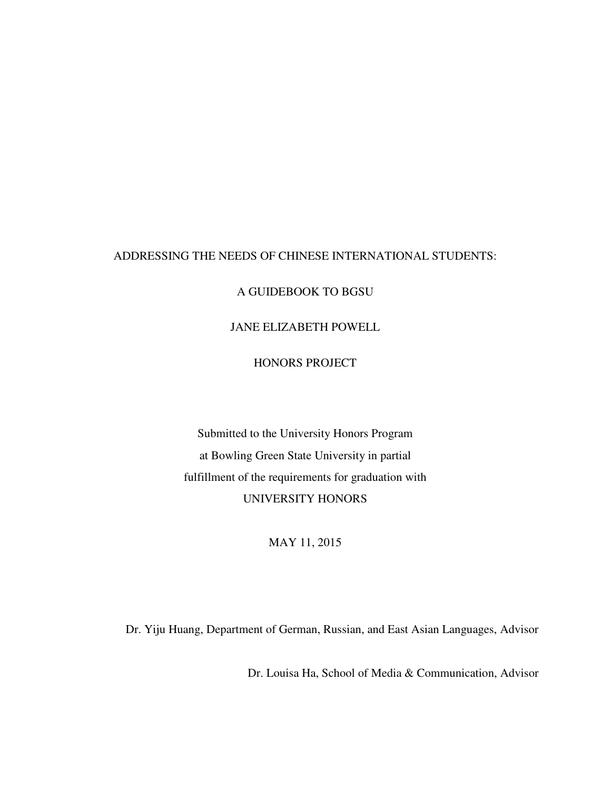## ADDRESSING THE NEEDS OF CHINESE INTERNATIONAL STUDENTS:

A GUIDEBOOK TO BGSU

JANE ELIZABETH POWELL

HONORS PROJECT

Submitted to the University Honors Program at Bowling Green State University in partial fulfillment of the requirements for graduation with UNIVERSITY HONORS

MAY 11, 2015

Dr. Yiju Huang, Department of German, Russian, and East Asian Languages, Advisor

Dr. Louisa Ha, School of Media & Communication, Advisor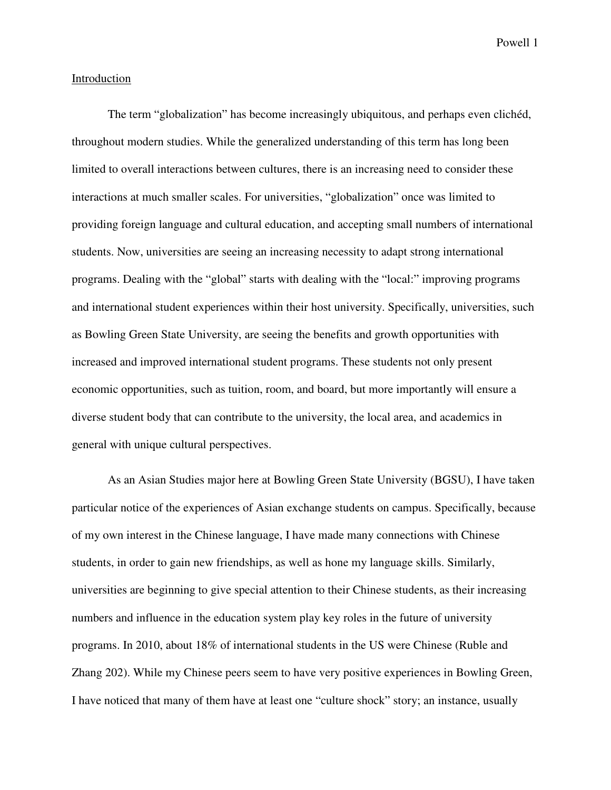#### Introduction

The term "globalization" has become increasingly ubiquitous, and perhaps even clichéd, throughout modern studies. While the generalized understanding of this term has long been limited to overall interactions between cultures, there is an increasing need to consider these interactions at much smaller scales. For universities, "globalization" once was limited to providing foreign language and cultural education, and accepting small numbers of international students. Now, universities are seeing an increasing necessity to adapt strong international programs. Dealing with the "global" starts with dealing with the "local:" improving programs and international student experiences within their host university. Specifically, universities, such as Bowling Green State University, are seeing the benefits and growth opportunities with increased and improved international student programs. These students not only present economic opportunities, such as tuition, room, and board, but more importantly will ensure a diverse student body that can contribute to the university, the local area, and academics in general with unique cultural perspectives.

 As an Asian Studies major here at Bowling Green State University (BGSU), I have taken particular notice of the experiences of Asian exchange students on campus. Specifically, because of my own interest in the Chinese language, I have made many connections with Chinese students, in order to gain new friendships, as well as hone my language skills. Similarly, universities are beginning to give special attention to their Chinese students, as their increasing numbers and influence in the education system play key roles in the future of university programs. In 2010, about 18% of international students in the US were Chinese (Ruble and Zhang 202). While my Chinese peers seem to have very positive experiences in Bowling Green, I have noticed that many of them have at least one "culture shock" story; an instance, usually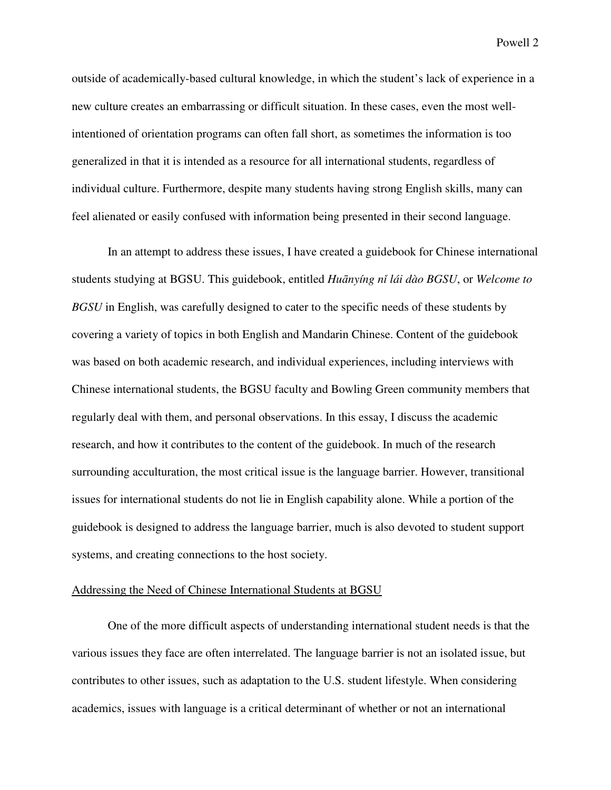outside of academically-based cultural knowledge, in which the student's lack of experience in a new culture creates an embarrassing or difficult situation. In these cases, even the most wellintentioned of orientation programs can often fall short, as sometimes the information is too generalized in that it is intended as a resource for all international students, regardless of individual culture. Furthermore, despite many students having strong English skills, many can feel alienated or easily confused with information being presented in their second language.

 In an attempt to address these issues, I have created a guidebook for Chinese international students studying at BGSU. This guidebook, entitled *Hu*ā*nyíng n*ǐ *lái dào BGSU*, or *Welcome to BGSU* in English, was carefully designed to cater to the specific needs of these students by covering a variety of topics in both English and Mandarin Chinese. Content of the guidebook was based on both academic research, and individual experiences, including interviews with Chinese international students, the BGSU faculty and Bowling Green community members that regularly deal with them, and personal observations. In this essay, I discuss the academic research, and how it contributes to the content of the guidebook. In much of the research surrounding acculturation, the most critical issue is the language barrier. However, transitional issues for international students do not lie in English capability alone. While a portion of the guidebook is designed to address the language barrier, much is also devoted to student support systems, and creating connections to the host society.

#### Addressing the Need of Chinese International Students at BGSU

 One of the more difficult aspects of understanding international student needs is that the various issues they face are often interrelated. The language barrier is not an isolated issue, but contributes to other issues, such as adaptation to the U.S. student lifestyle. When considering academics, issues with language is a critical determinant of whether or not an international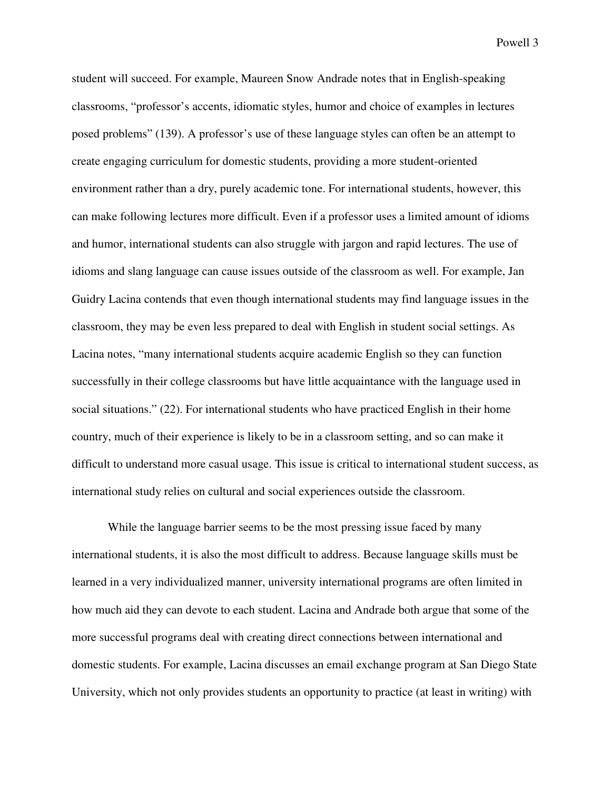student will succeed. For example, Maureen Snow Andrade notes that in English-speaking classrooms, "professor's accents, idiomatic styles, humor and choice of examples in lectures posed problems" (139). A professor's use of these language styles can often be an attempt to create engaging curriculum for domestic students, providing a more student-oriented environment rather than a dry, purely academic tone. For international students, however, this can make following lectures more difficult. Even if a professor uses a limited amount of idioms and humor, international students can also struggle with jargon and rapid lectures. The use of idioms and slang language can cause issues outside of the classroom as well. For example, Jan Guidry Lacina contends that even though international students may find language issues in the classroom, they may be even less prepared to deal with English in student social settings. As Lacina notes, "many international students acquire academic English so they can function successfully in their college classrooms but have little acquaintance with the language used in social situations." (22). For international students who have practiced English in their home country, much of their experience is likely to be in a classroom setting, and so can make it difficult to understand more casual usage. This issue is critical to international student success, as international study relies on cultural and social experiences outside the classroom.

While the language barrier seems to be the most pressing issue faced by many international students, it is also the most difficult to address. Because language skills must be learned in a very individualized manner, university international programs are often limited in how much aid they can devote to each student. Lacina and Andrade both argue that some of the more successful programs deal with creating direct connections between international and domestic students. For example, Lacina discusses an email exchange program at San Diego State University, which not only provides students an opportunity to practice (at least in writing) with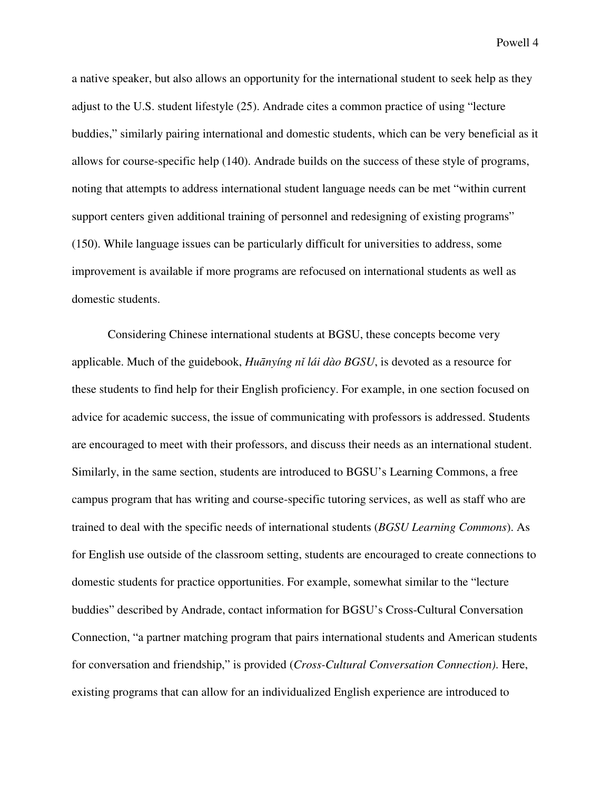a native speaker, but also allows an opportunity for the international student to seek help as they adjust to the U.S. student lifestyle (25). Andrade cites a common practice of using "lecture buddies," similarly pairing international and domestic students, which can be very beneficial as it allows for course-specific help (140). Andrade builds on the success of these style of programs, noting that attempts to address international student language needs can be met "within current support centers given additional training of personnel and redesigning of existing programs" (150). While language issues can be particularly difficult for universities to address, some improvement is available if more programs are refocused on international students as well as domestic students.

Considering Chinese international students at BGSU, these concepts become very applicable. Much of the guidebook, *Hu*ā*nyíng n*ǐ *lái dào BGSU*, is devoted as a resource for these students to find help for their English proficiency. For example, in one section focused on advice for academic success, the issue of communicating with professors is addressed. Students are encouraged to meet with their professors, and discuss their needs as an international student. Similarly, in the same section, students are introduced to BGSU's Learning Commons, a free campus program that has writing and course-specific tutoring services, as well as staff who are trained to deal with the specific needs of international students (*BGSU Learning Commons*). As for English use outside of the classroom setting, students are encouraged to create connections to domestic students for practice opportunities. For example, somewhat similar to the "lecture buddies" described by Andrade, contact information for BGSU's Cross-Cultural Conversation Connection, "a partner matching program that pairs international students and American students for conversation and friendship," is provided (*Cross-Cultural Conversation Connection)*. Here, existing programs that can allow for an individualized English experience are introduced to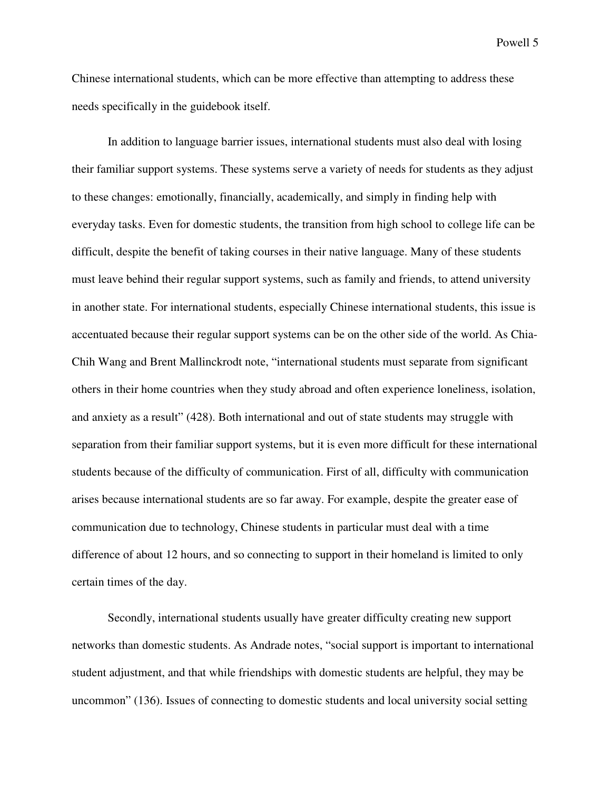Chinese international students, which can be more effective than attempting to address these needs specifically in the guidebook itself.

In addition to language barrier issues, international students must also deal with losing their familiar support systems. These systems serve a variety of needs for students as they adjust to these changes: emotionally, financially, academically, and simply in finding help with everyday tasks. Even for domestic students, the transition from high school to college life can be difficult, despite the benefit of taking courses in their native language. Many of these students must leave behind their regular support systems, such as family and friends, to attend university in another state. For international students, especially Chinese international students, this issue is accentuated because their regular support systems can be on the other side of the world. As Chia-Chih Wang and Brent Mallinckrodt note, "international students must separate from significant others in their home countries when they study abroad and often experience loneliness, isolation, and anxiety as a result" (428). Both international and out of state students may struggle with separation from their familiar support systems, but it is even more difficult for these international students because of the difficulty of communication. First of all, difficulty with communication arises because international students are so far away. For example, despite the greater ease of communication due to technology, Chinese students in particular must deal with a time difference of about 12 hours, and so connecting to support in their homeland is limited to only certain times of the day.

Secondly, international students usually have greater difficulty creating new support networks than domestic students. As Andrade notes, "social support is important to international student adjustment, and that while friendships with domestic students are helpful, they may be uncommon" (136). Issues of connecting to domestic students and local university social setting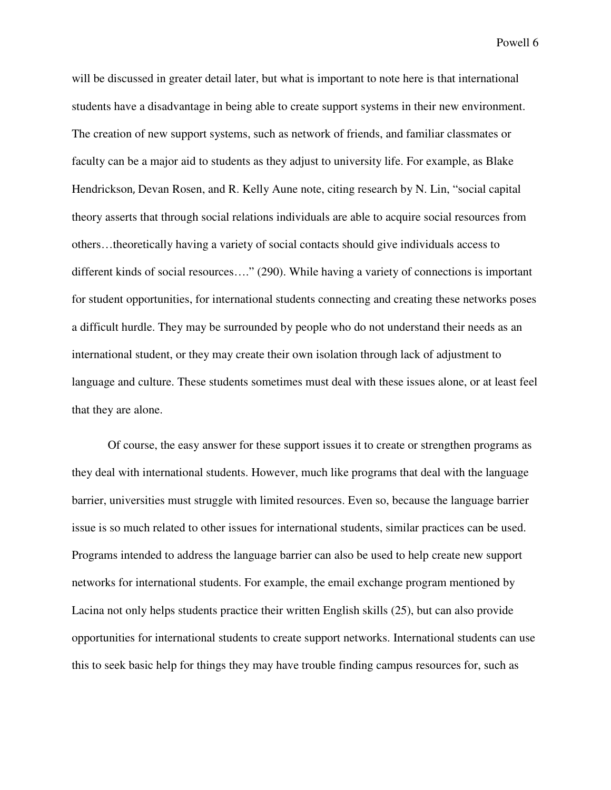will be discussed in greater detail later, but what is important to note here is that international students have a disadvantage in being able to create support systems in their new environment. The creation of new support systems, such as network of friends, and familiar classmates or faculty can be a major aid to students as they adjust to university life. For example, as Blake Hendrickson, Devan Rosen, and R. Kelly Aune note, citing research by N. Lin, "social capital theory asserts that through social relations individuals are able to acquire social resources from others…theoretically having a variety of social contacts should give individuals access to different kinds of social resources…." (290). While having a variety of connections is important for student opportunities, for international students connecting and creating these networks poses a difficult hurdle. They may be surrounded by people who do not understand their needs as an international student, or they may create their own isolation through lack of adjustment to language and culture. These students sometimes must deal with these issues alone, or at least feel that they are alone.

Of course, the easy answer for these support issues it to create or strengthen programs as they deal with international students. However, much like programs that deal with the language barrier, universities must struggle with limited resources. Even so, because the language barrier issue is so much related to other issues for international students, similar practices can be used. Programs intended to address the language barrier can also be used to help create new support networks for international students. For example, the email exchange program mentioned by Lacina not only helps students practice their written English skills (25), but can also provide opportunities for international students to create support networks. International students can use this to seek basic help for things they may have trouble finding campus resources for, such as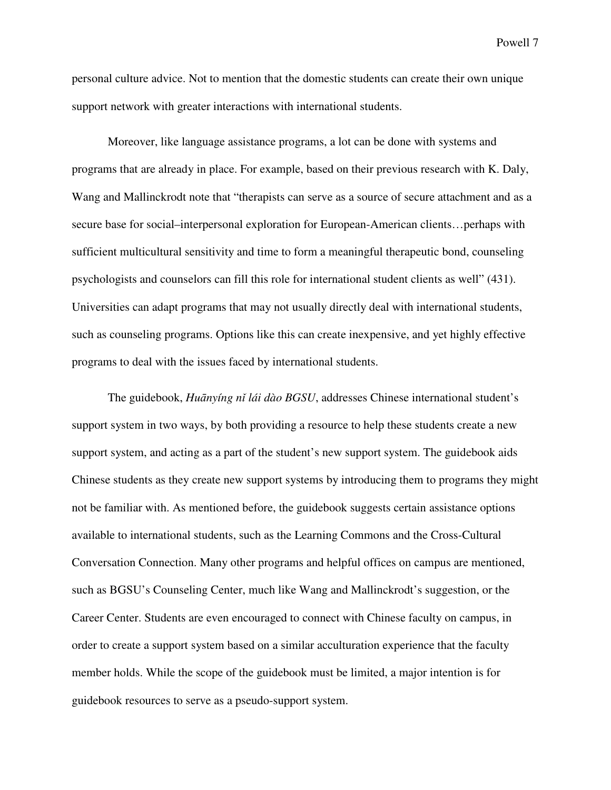personal culture advice. Not to mention that the domestic students can create their own unique support network with greater interactions with international students.

Moreover, like language assistance programs, a lot can be done with systems and programs that are already in place. For example, based on their previous research with K. Daly, Wang and Mallinckrodt note that "therapists can serve as a source of secure attachment and as a secure base for social–interpersonal exploration for European-American clients…perhaps with sufficient multicultural sensitivity and time to form a meaningful therapeutic bond, counseling psychologists and counselors can fill this role for international student clients as well" (431). Universities can adapt programs that may not usually directly deal with international students, such as counseling programs. Options like this can create inexpensive, and yet highly effective programs to deal with the issues faced by international students.

The guidebook, *Hu*ā*nyíng n*ǐ *lái dào BGSU*, addresses Chinese international student's support system in two ways, by both providing a resource to help these students create a new support system, and acting as a part of the student's new support system. The guidebook aids Chinese students as they create new support systems by introducing them to programs they might not be familiar with. As mentioned before, the guidebook suggests certain assistance options available to international students, such as the Learning Commons and the Cross-Cultural Conversation Connection. Many other programs and helpful offices on campus are mentioned, such as BGSU's Counseling Center, much like Wang and Mallinckrodt's suggestion, or the Career Center. Students are even encouraged to connect with Chinese faculty on campus, in order to create a support system based on a similar acculturation experience that the faculty member holds. While the scope of the guidebook must be limited, a major intention is for guidebook resources to serve as a pseudo-support system.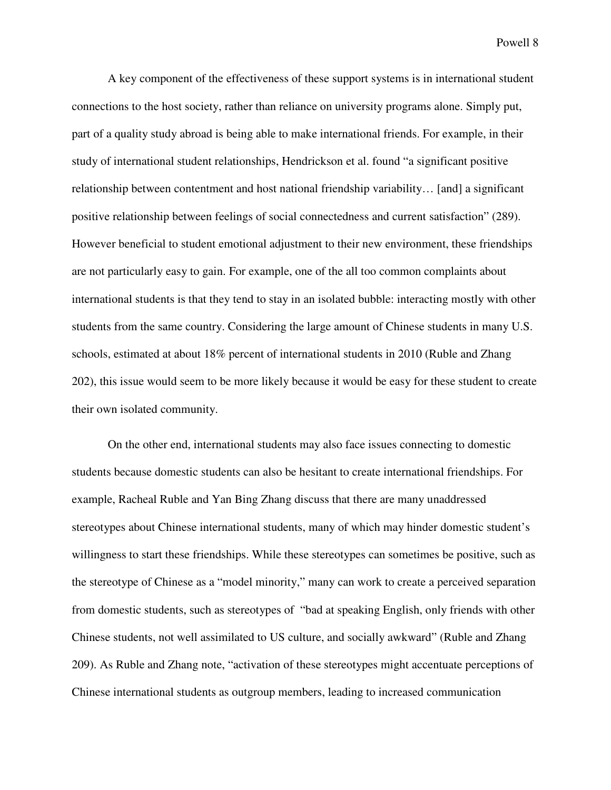A key component of the effectiveness of these support systems is in international student connections to the host society, rather than reliance on university programs alone. Simply put, part of a quality study abroad is being able to make international friends. For example, in their study of international student relationships, Hendrickson et al. found "a significant positive relationship between contentment and host national friendship variability… [and] a significant positive relationship between feelings of social connectedness and current satisfaction" (289). However beneficial to student emotional adjustment to their new environment, these friendships are not particularly easy to gain. For example, one of the all too common complaints about international students is that they tend to stay in an isolated bubble: interacting mostly with other students from the same country. Considering the large amount of Chinese students in many U.S. schools, estimated at about 18% percent of international students in 2010 (Ruble and Zhang 202), this issue would seem to be more likely because it would be easy for these student to create their own isolated community.

On the other end, international students may also face issues connecting to domestic students because domestic students can also be hesitant to create international friendships. For example, Racheal Ruble and Yan Bing Zhang discuss that there are many unaddressed stereotypes about Chinese international students, many of which may hinder domestic student's willingness to start these friendships. While these stereotypes can sometimes be positive, such as the stereotype of Chinese as a "model minority," many can work to create a perceived separation from domestic students, such as stereotypes of "bad at speaking English, only friends with other Chinese students, not well assimilated to US culture, and socially awkward" (Ruble and Zhang 209). As Ruble and Zhang note, "activation of these stereotypes might accentuate perceptions of Chinese international students as outgroup members, leading to increased communication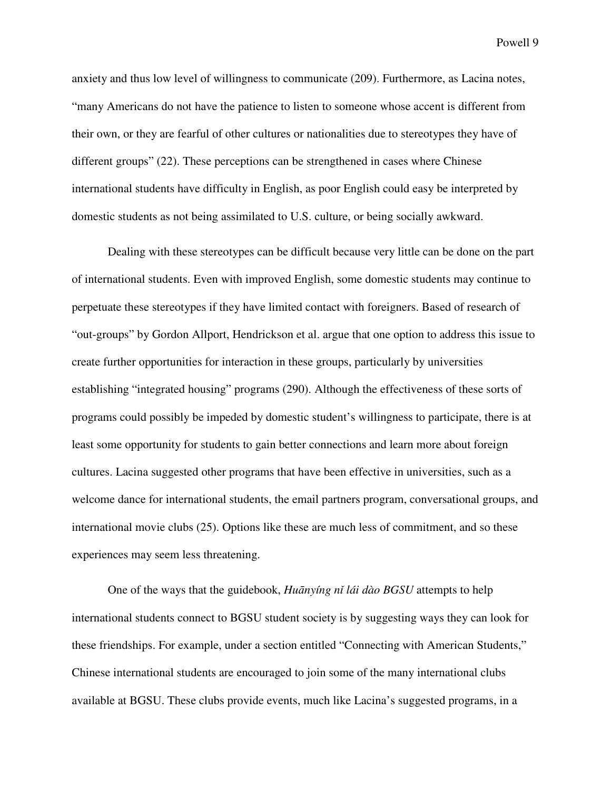anxiety and thus low level of willingness to communicate (209). Furthermore, as Lacina notes, "many Americans do not have the patience to listen to someone whose accent is different from their own, or they are fearful of other cultures or nationalities due to stereotypes they have of different groups" (22). These perceptions can be strengthened in cases where Chinese international students have difficulty in English, as poor English could easy be interpreted by domestic students as not being assimilated to U.S. culture, or being socially awkward.

Dealing with these stereotypes can be difficult because very little can be done on the part of international students. Even with improved English, some domestic students may continue to perpetuate these stereotypes if they have limited contact with foreigners. Based of research of "out-groups" by Gordon Allport, Hendrickson et al. argue that one option to address this issue to create further opportunities for interaction in these groups, particularly by universities establishing "integrated housing" programs (290). Although the effectiveness of these sorts of programs could possibly be impeded by domestic student's willingness to participate, there is at least some opportunity for students to gain better connections and learn more about foreign cultures. Lacina suggested other programs that have been effective in universities, such as a welcome dance for international students, the email partners program, conversational groups, and international movie clubs (25). Options like these are much less of commitment, and so these experiences may seem less threatening.

One of the ways that the guidebook, *Hu*ā*nyíng n*ǐ *lái dào BGSU* attempts to help international students connect to BGSU student society is by suggesting ways they can look for these friendships. For example, under a section entitled "Connecting with American Students," Chinese international students are encouraged to join some of the many international clubs available at BGSU. These clubs provide events, much like Lacina's suggested programs, in a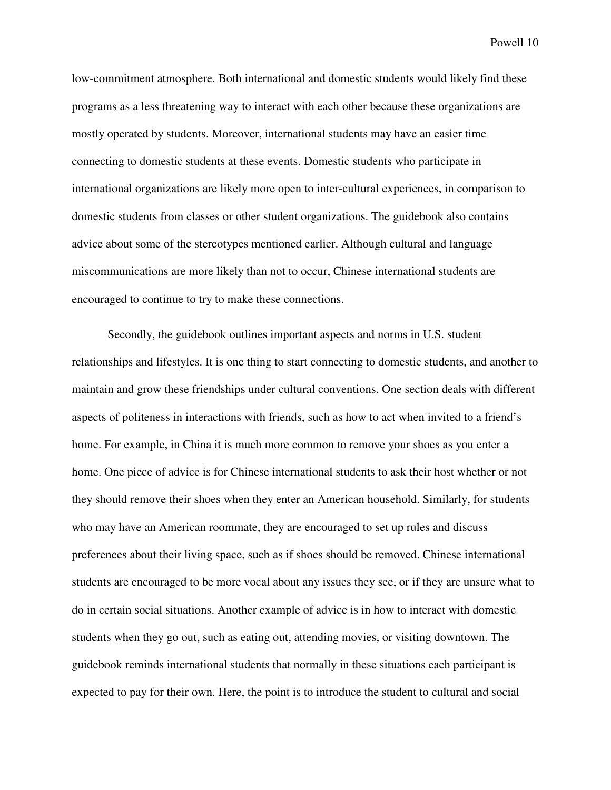low-commitment atmosphere. Both international and domestic students would likely find these programs as a less threatening way to interact with each other because these organizations are mostly operated by students. Moreover, international students may have an easier time connecting to domestic students at these events. Domestic students who participate in international organizations are likely more open to inter-cultural experiences, in comparison to domestic students from classes or other student organizations. The guidebook also contains advice about some of the stereotypes mentioned earlier. Although cultural and language miscommunications are more likely than not to occur, Chinese international students are encouraged to continue to try to make these connections.

Secondly, the guidebook outlines important aspects and norms in U.S. student relationships and lifestyles. It is one thing to start connecting to domestic students, and another to maintain and grow these friendships under cultural conventions. One section deals with different aspects of politeness in interactions with friends, such as how to act when invited to a friend's home. For example, in China it is much more common to remove your shoes as you enter a home. One piece of advice is for Chinese international students to ask their host whether or not they should remove their shoes when they enter an American household. Similarly, for students who may have an American roommate, they are encouraged to set up rules and discuss preferences about their living space, such as if shoes should be removed. Chinese international students are encouraged to be more vocal about any issues they see, or if they are unsure what to do in certain social situations. Another example of advice is in how to interact with domestic students when they go out, such as eating out, attending movies, or visiting downtown. The guidebook reminds international students that normally in these situations each participant is expected to pay for their own. Here, the point is to introduce the student to cultural and social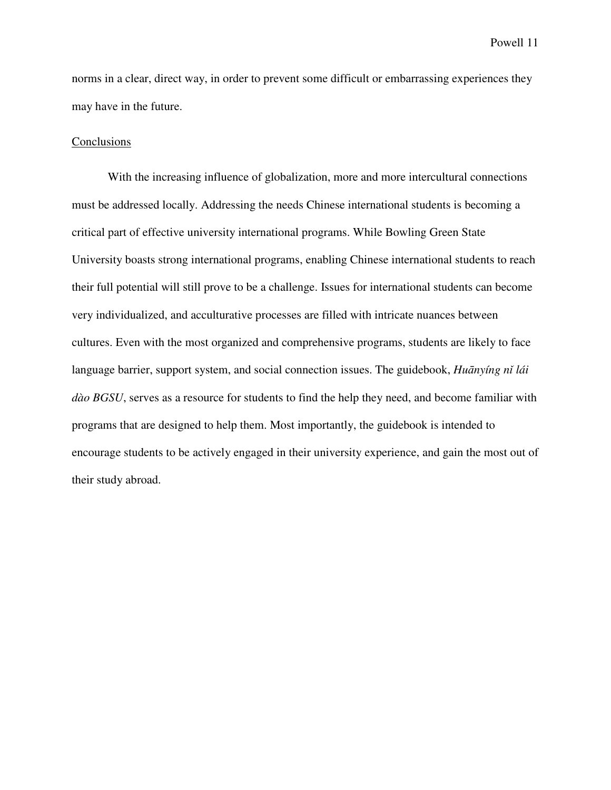norms in a clear, direct way, in order to prevent some difficult or embarrassing experiences they may have in the future.

### **Conclusions**

With the increasing influence of globalization, more and more intercultural connections must be addressed locally. Addressing the needs Chinese international students is becoming a critical part of effective university international programs. While Bowling Green State University boasts strong international programs, enabling Chinese international students to reach their full potential will still prove to be a challenge. Issues for international students can become very individualized, and acculturative processes are filled with intricate nuances between cultures. Even with the most organized and comprehensive programs, students are likely to face language barrier, support system, and social connection issues. The guidebook, *Hu*ā*nyíng n*ǐ *lái dào BGSU*, serves as a resource for students to find the help they need, and become familiar with programs that are designed to help them. Most importantly, the guidebook is intended to encourage students to be actively engaged in their university experience, and gain the most out of their study abroad.